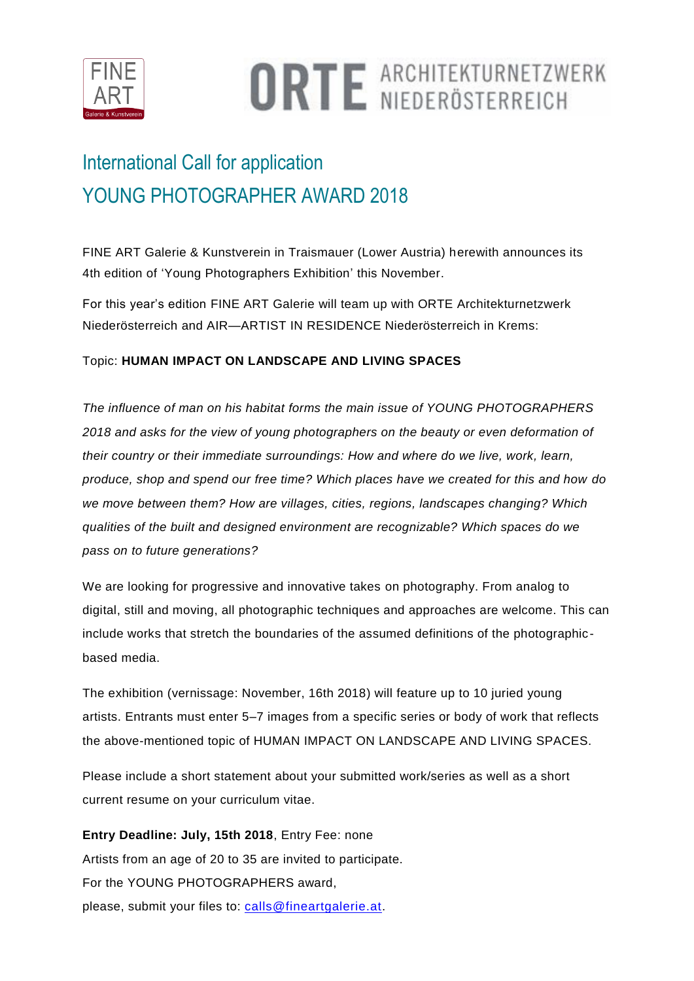

# **ORTE ARCHITEKTURNETZWERK**

## International Call for application YOUNG PHOTOGRAPHER AWARD 2018

FINE ART Galerie & Kunstverein in Traismauer (Lower Austria) herewith announces its 4th edition of 'Young Photographers Exhibition' this November.

For this year's edition FINE ART Galerie will team up with ORTE Architekturnetzwerk Niederösterreich and AIR—ARTIST IN RESIDENCE Niederösterreich in Krems:

#### Topic: **HUMAN IMPACT ON LANDSCAPE AND LIVING SPACES**

*The influence of man on his habitat forms the main issue of YOUNG PHOTOGRAPHERS 2018 and asks for the view of young photographers on the beauty or even deformation of their country or their immediate surroundings: How and where do we live, work, learn, produce, shop and spend our free time? Which places have we created for this and how do we move between them? How are villages, cities, regions, landscapes changing? Which qualities of the built and designed environment are recognizable? Which spaces do we pass on to future generations?*

We are looking for progressive and innovative takes on photography. From analog to digital, still and moving, all photographic techniques and approaches are welcome. This can include works that stretch the boundaries of the assumed definitions of the photographicbased media.

The exhibition (vernissage: November, 16th 2018) will feature up to 10 juried young artists. Entrants must enter 5–7 images from a specific series or body of work that reflects the above-mentioned topic of HUMAN IMPACT ON LANDSCAPE AND LIVING SPACES.

Please include a short statement about your submitted work/series as well as a short current resume on your curriculum vitae.

**Entry Deadline: July, 15th 2018**, Entry Fee: none Artists from an age of 20 to 35 are invited to participate. For the YOUNG PHOTOGRAPHERS award, please, submit your files to: [calls@fineartgalerie.at.](mailto:calls@fineartgalerie.at)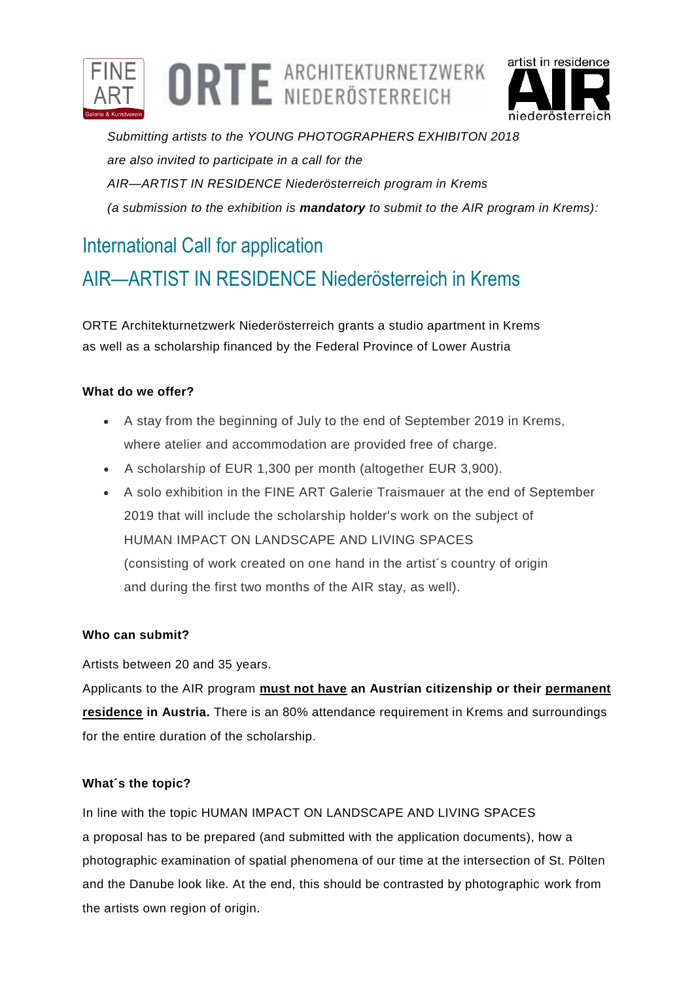



*Submitting artists to the YOUNG PHOTOGRAPHERS EXHIBITON 2018 are also invited to participate in a call for the AIR—ARTIST IN RESIDENCE Niederösterreich program in Krems (a submission to the exhibition is mandatory to submit to the AIR program in Krems):*

### International Call for application

## AIR—ARTIST IN RESIDENCE Niederösterreich in Krems

ORTE Architekturnetzwerk Niederösterreich grants a studio apartment in Krems as well as a scholarship financed by the Federal Province of Lower Austria

#### **What do we offer?**

- A stay from the beginning of July to the end of September 2019 in Krems, where atelier and accommodation are provided free of charge.
- A scholarship of EUR 1,300 per month (altogether EUR 3,900).
- A solo exhibition in the FINE ART Galerie Traismauer at the end of September 2019 that will include the scholarship holder's work on the subject of HUMAN IMPACT ON LANDSCAPE AND LIVING SPACES (consisting of work created on one hand in the artist´s country of origin and during the first two months of the AIR stay, as well).

#### **Who can submit?**

Artists between 20 and 35 years.

Applicants to the AIR program **must not have an Austrian citizenship or their permanent residence in Austria.** There is an 80% attendance requirement in Krems and surroundings for the entire duration of the scholarship.

#### **What´s the topic?**

In line with the topic HUMAN IMPACT ON LANDSCAPE AND LIVING SPACES a proposal has to be prepared (and submitted with the application documents), how a photographic examination of spatial phenomena of our time at the intersection of St. Pölten and the Danube look like. At the end, this should be contrasted by photographic work from the artists own region of origin.